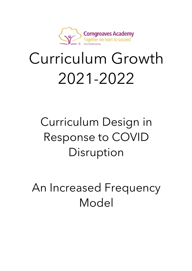

# Curriculum Growth 2021-2022

## Curriculum Design in Response to COVID Disruption

An Increased Frequency Model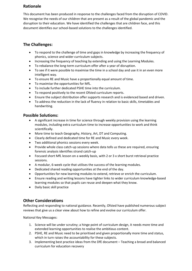#### **Rationale**

This document has been produced in response to the challenges faced from the disruption of COVID. We recognise the needs of our children that are present as a result of the global pandemic and the disruption to their education. We have identified the challenges that are children face, and this document identifies our school-based solutions to the challenges identified.

#### **The Challenges:**

- To respond to the challenge of time and gaps in knowledge by increasing the frequency of phonics, science and wider curriculum subjects.
- Increasing the frequency of teaching by extending and using the Learning Modules.
- To rebalance the long-term curriculum offer after a year of disruption.
- To see if it were possible to maximise the time in a school day and use it in an even more intelligent way.
- To ensure RE and Music have a proportionally equal amount of time.
- To maximise the opportunities for MfL.
- To include further dedicated PSHE time into the curriculum.
- To respond positively to the recent Ofsted curriculum reports.
- Ensure the subject distribution offer supports research and is evidenced based and driven.
- To address the reduction in the lack of fluency in relation to basic skills, timetables and handwriting.

#### **Possible Solutions:**

- A significant increase in time for science through weekly provision using the learning modules, including extra curriculum time to increase opportunities to work and think scientifically.
- More time to teach Geography, History, Art, DT and Computing.
- Clearly defined and dedicated time for RE and Music every week.
- Two additional phonics sessions every week.
- Provide whole class catch-up sessions where data tells us these are required, ensuring forensic analysis identifies strand catch-up
- Focused short MfL lesson on a weekly basis, with 2 or 3 x short burst retrieval practice sessions.
- A modular, 6-week cycle that utilises the success of the learning modules.
- Dedicated shared reading opportunities at the end of the day.
- Opportunities for new learning modules to extend, retrieve or enrich the curriculum.
- Ensure reading and writing lessons have tighter links to wider curriculum knowledge-based learning modules so that pupils can reuse and deepen what they know.
- Daily basic skill practice

#### **Other Considerations**

Reflecting and responding to national guidance. Recently, Ofsted have published numerous subject reviews that give us a clear view about how to refine and evolve our curriculum offer.

National Key Messages:

- 1. Science will be under scrutiny; a hinge point of curriculum design, it needs more time and extended learning opportunities to realise the ambitious content.
- 2. PSHE, RE and Music need to be prioritised and given proportionally more time and status, which in turn raises the accountability for these subjects.
- 3. Implementing best practice ideas from the DfE document Teaching a broad and balanced curriculum for education recovery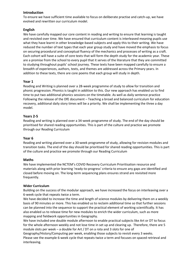#### **Introduction**

To ensure we have sufficient time available to focus on deliberate practise and catch-up, we have evolved and rewritten our curriculum model.

#### **English**

We have carefully mapped our core content in reading and writing to ensure that learning is taught and revisited over time. We have ensured that curriculum content is interleaved meaning pupils use what they have learnt in other knowledge-based subjects and apply this to their writing. We have reduced the number of text types that each year group study and have moved the emphasis to focus on securing procedural and conceptual fluency of the mechanics and processes of writing as a craft. Each cohort will have a suite of core texts that will form the depth study for the academic year. These are a promise from the school to every pupil that it serves of the literature that they are committed to studying throughout pupils' school journey. These texts have been mapped carefully to ensure a breadth of experiences, authors, texts, and themes are addressed across the Primary years. In addition to these texts, there are core poems that each group will study in depth.

#### **Year 1**

Reading and Writing is planned over a 28-week programme of study to allow for transition and phonic progression. Phonics is taught in addition to this. Our new approach has enabled us to find time to put two additional phonics sessions on the timetable. As well as daily sentence practice Following the release of the DfE document – Teaching a broad and balanced curriculum for education recovery, additional daily story times will be a priority. We shall be implementing the three a day model.

#### **Years 2-5**

Reading and writing is planned over a 34-week programme of study. The end of the day should be prioritised for shared reading opportunities. This is part of the culture and practice we promote through our Reading Curriculum

#### **Year 6**

Reading and writing planned over a 30-week programme of study, allowing for revision modules and transition tasks. The end of the day should be prioritised for shared reading opportunities. This is part of the culture and practice we promote through our Reading Curriculum

#### **Maths**

We have implemented the NCTEM's COVID Recovery Curriculum Prioritisation resource and materials along with prior learning 'ready-to-progress' criteria to ensure any gaps are identified and closed before moving on. The long-term sequencing plans ensures strand are revisited more frequently.

#### **Wider Curriculum**

Building on the success of the modular approach, we have increased the focus on interleaving over a 6-week cycle that repeats twice a term.

We have decided to increase the time and length of science modules by delivering them on a weekly basis of 90 minutes or more. This has enabled us to reclaim additional time so that further sessions can be planned into the sequence to support the practical element of working scientifically. It has also enabled us to release time for new modules to enrich the wider curriculum, such as more mapping and fieldwork opportunities in Geography.

We have included one double module afternoon to enable practical subjects like Art or DT to focus for the whole afternoon weekly and not lose time in set up and clearing up. Therefore, there are 5 module slots per week – a double for Art / DT on a rota and 3 slots for one of

Geography/History/Computing per week, enabling those subjects to revisit every 3 weeks. Please see the example 6-week cycle that repeats twice a term and focuses on spaced retrieval and interleaving.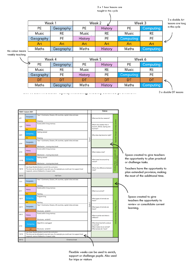#### 3 x 1 hour lessons are tau

|  | iught in this cycle |
|--|---------------------|
|  |                     |

|           |           |                |         |           |                  | 3 x double Art |
|-----------|-----------|----------------|---------|-----------|------------------|----------------|
|           | Week 1    | Week 2         |         | Week 3    | lessons are taug |                |
| PE        | Geography | <b>PE</b>      | History | PE        | Computing        | in this cycle  |
| Music     | <b>RE</b> | Music          | RE      | Music     | <b>RE</b>        |                |
| Geography | PE        | <b>History</b> | PE      | Computing | PE               |                |
| Art       | Art       | Art            | Art     | Art       | Art              |                |
| Maths     | Geography | Maths          | History | Maths     | <b>Computing</b> |                |

No colour means weekly teaching

|           | Week 4    |         | Week 5         | Week 6    |           |  |  |
|-----------|-----------|---------|----------------|-----------|-----------|--|--|
| PE        | Geography | PE      | <b>History</b> | PE        | Computing |  |  |
| Music     | <b>RE</b> | Music   | <b>RE</b>      | Music     | <b>RE</b> |  |  |
| Geography | PE        | History | <b>PE</b>      | Computing | PE        |  |  |
|           |           |         | DT             |           |           |  |  |
| Maths     | Geography | Maths   | History        | Maths     | Computing |  |  |

**Six Week Modular Cycle, including weekly science provision:**

3 x double DT lessons

|       | YEAR 1 Autumn 2021  |                                                                                                                                                                                                      |       | Science                                                                                          |                               |                                                                     |
|-------|---------------------|------------------------------------------------------------------------------------------------------------------------------------------------------------------------------------------------------|-------|--------------------------------------------------------------------------------------------------|-------------------------------|---------------------------------------------------------------------|
| 6/9   | Geography<br>Art    | Year 1 Continents, Oceans, UK countries, capital cities and seas<br>Drawing                                                                                                                          |       | What are the four seasons?                                                                       |                               |                                                                     |
| 13/9  | History<br>Art.     | Events within living memory<br>Drawing                                                                                                                                                               |       | What's the weather like in<br>Autumn, Winter, Spring and<br>Summer?                              | <b>The Media</b><br>and daily |                                                                     |
| 20/9  | Computing<br>Art    | Getting started<br>Drawing                                                                                                                                                                           |       | Why does day become night?                                                                       | changes                       |                                                                     |
| 27/9  | Geography           | Year 1 Continents, Oceans, UK countries, capital cities and seas                                                                                                                                     | Cycle |                                                                                                  | ē                             |                                                                     |
| 4/10  | DT<br>History<br>DT | Mechanism - moving story book<br>Events within living memory<br>Mechanism - moving story book                                                                                                        |       | What makes a tree?                                                                               | gar                           | Space created to give teachers                                      |
| 11/10 | Computing<br>DT     | Getting started<br>Mechanism - moving story book                                                                                                                                                     |       | What trees live around my<br>school?                                                             | evergin<br><b>Contract</b>    | the opportunity to plan practical<br>or challenge tasks.            |
| 18/10 |                     | Use these flexible blocks to enrich the curriculum.<br>The time can be allocated to any term you, for example you could use it to support local<br>mapwork, science fieldwork or museum visits.      |       | What's the difference between<br>trees?                                                          | introduce Plants -            | Teachers have the opportunity to<br>plan extended provision, making |
| 25/10 |                     | <b>Half Term</b>                                                                                                                                                                                     |       |                                                                                                  |                               | the most of the additional time.                                    |
| 1/11  | Geography<br>Art.   | Year 1 Continents, Oceans, UK countries, capital cities and seas<br>Painting                                                                                                                         |       |                                                                                                  |                               |                                                                     |
| 8/11  | History<br>Art      | Events within living memory<br>Painting                                                                                                                                                              |       | What is an animal?                                                                               |                               |                                                                     |
| 15/11 | Computing<br>Art    | Programming<br>Painting                                                                                                                                                                              |       | What types of animals are<br>there?                                                              |                               | Space created to give<br>teachers the opportunity to                |
| 22/11 | Geography<br>DT     | Year 1 Continents, Oceans, UK countries, capital cities and seas<br>Structures - windmill                                                                                                            | ž     | What types of animals are<br>there?                                                              | including hum                 | review or consolidate current<br>learning.                          |
| 29/11 | History<br>DT       | Events within living memory<br>Structures - windmill                                                                                                                                                 |       | What is similar and what is<br>different?                                                        | 불<br>Anim                     |                                                                     |
| 6/12  | Computing<br>DT     | Algorithms unplugged<br>Structures - windmill                                                                                                                                                        |       | What does food tell us about<br>an animal?<br>What makes me an animal?<br>What senses do I have? | ntroduce                      |                                                                     |
| 13/12 |                     | Use these flexible blocks to enrich the curriculum.<br>The time can be allocated to any term you, for example you could use it to support local<br>⇐<br>mapwork, science fieldwork or museum visits. |       |                                                                                                  |                               |                                                                     |
| 20/12 |                     | Christmas break                                                                                                                                                                                      |       |                                                                                                  |                               |                                                                     |
|       |                     |                                                                                                                                                                                                      |       |                                                                                                  |                               |                                                                     |

Flexible weeks can be used to enrich, support or challenge pupils. Also used for trips or visitors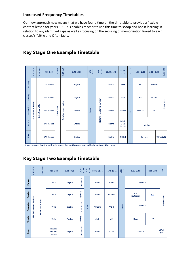#### **Increased Frequency Timetables**

Our new approach now means that we have found time on the timetable to provide a flexible content lesson for years 3-6. This enables teacher to use this time to scoop and boost learning in relation to any identified gaps as well as focusing on the securing of memorisation linked to each classes's "Little and Often facts.

|           | 8:40-8:50                    | 8.50-9.00           | 9.00-9.30          | 9:30-9:40       | 9:40-9:45               | 9.45-10.30 | 10:30-<br>10:45 | $10.45 -$<br>10.55 | 10.55-11.45 | $11.45 -$<br>12.15        | $-1.00$<br>12.15 | $1:00 - 2:00$ | $2:00 - 3:00$ | 3.00-3.15          |
|-----------|------------------------------|---------------------|--------------------|-----------------|-------------------------|------------|-----------------|--------------------|-------------|---------------------------|------------------|---------------|---------------|--------------------|
| Monday    |                              |                     | <b>RWI Phonics</b> |                 |                         | English    |                 |                    | Maths       | <b>PSHE</b>               |                  | PE            | Module        |                    |
| Tuesday   |                              |                     | <b>RWI Phonics</b> |                 |                         | English    |                 |                    | Maths       | <b>PSHE</b>               |                  | $RE*$         | Music*        |                    |
| Wednesday | <b>Fine Motor Activities</b> | Brain, Smart, Start | <b>RWI Phonics</b> | Kinetic Letters | Daily Sentence Practise | English    | <b>Break</b>    | Mastering Number   | Maths       | Module                    | Lunch            | Module        | PE            | Story Time         |
| Thursday  |                              |                     | <b>RWI Phonics</b> |                 |                         | English    |                 | $NCTEM -$          | Maths       | Whole<br>Class<br>Phonics |                  | Module        |               |                    |
| Friday    |                              |                     | <b>RWI Phonics</b> |                 |                         | English    |                 |                    | Maths       | <b>NC EVI</b>             |                  | Science       |               | <b>VIP at 2:45</b> |

### **Key Stage One Example Timetable**

Please ensure that Pinny time is happening continuously especially during transition times

## **Key Stage Two Example Timetable**

|           | 8:40-8:50                   | 8.50-9.00           | $9.00 - 9.30$                 | 9.30-10.20 | 10.20-<br>10.30 | 10.30-<br>10.45 | 10.45-11.45 | 11.45-12.15   | 12.15-<br>1.00 | $1.00 - 2.00$    | 2.00-3.00 | 3.00-3.15         |
|-----------|-----------------------------|---------------------|-------------------------------|------------|-----------------|-----------------|-------------|---------------|----------------|------------------|-----------|-------------------|
| Monday    |                             |                     | <b>WCR</b>                    | English    | Handwriting     |                 | Maths       | <b>PSHE</b>   |                | Module           |           |                   |
| Tuesday   |                             |                     | <b>WCR</b>                    | English    | Spelling        |                 | Maths       | Module        |                | P.E<br>(outdoor) | R.E       | <b>Read Aloud</b> |
| Wednesday | Life Skills/Current Affairs | Brain, Smart, Start | <b>WCR</b>                    | English    | Handwriting     | <b>Break</b>    | *Maths      | *PSHE         | Lunch          | Module           |           |                   |
| Thursday  |                             |                     | <b>WCR</b>                    | English    | Spelling        |                 | Maths       | <b>MFL</b>    |                | Music            | PE        |                   |
| Friday    |                             |                     | Flexible<br>Content<br>Lesson | English    | Handwriting     |                 | Maths       | <b>NC EVI</b> |                | Science          |           | VIP at<br>2:45    |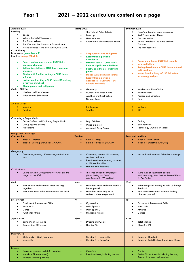## **Year 1 2021 – 2022 curriculum content on a page**

| Autumn 2021<br>Reading |                                                                     | Spring 2022     |                                                           | Summer 2022               |                                                                          |
|------------------------|---------------------------------------------------------------------|-----------------|-----------------------------------------------------------|---------------------------|--------------------------------------------------------------------------|
|                        |                                                                     | $\bullet$       | The Tale of Peter Rabbit.                                 | $\bullet$                 | There's a Rangtan in my bedroom.                                         |
| $\bullet$              | Beegu                                                               | $\bullet$       | Look Up!                                                  | $\bullet$                 | And Tango Makes Three.                                                   |
| $\bullet$              | Where the Wild Things Are.                                          |                 | Here We Are.                                              | $\bullet$                 | The Lion Within.                                                         |
|                        | The Storm Whale.                                                    |                 | Chocolate Cake - Michael Rosen.                           | ٠                         | Aesop's Fables - The Hare and the                                        |
| ٠                      | The Owl and the Pussycat - Edward Lear.                             |                 |                                                           |                           | Tortoise.                                                                |
|                        | Aesop's Fables - The Boy Who Cried Wolf.                            |                 |                                                           | $\bullet$                 | The Proudest Blue.                                                       |
| <b>CUSP Writing</b>    |                                                                     |                 |                                                           |                           |                                                                          |
|                        | Introduce = $green$ (Block A)                                       | $\bullet$       | <b>Shape poems and calligrams</b>                         |                           |                                                                          |
|                        | Revisit = $orange$ (Block B)                                        | ٠               | <b>Recount from personal</b>                              |                           |                                                                          |
|                        |                                                                     |                 | experience                                                |                           |                                                                          |
| $\bullet$              | Poetry: pattern and rhyme - CUSP link -                             | ٠               | Informal letters - CUSP link -                            | ۰                         | Poetry on a theme CUSP link - plants                                     |
|                        | seasonal changes                                                    |                 | lives of significant individuals                          | $\bullet$                 | <b>Informal letters</b>                                                  |
|                        | Setting descriptions - CUSP link - seasonal                         | $\bullet$       | Poetry on a theme - CUSP link -                           | ٠                         | Setting descriptions - CUSP link - hot and                               |
|                        | changes                                                             |                 | plants                                                    |                           | cold locations                                                           |
|                        | Stories with familiar settings - CUSP link -                        | $\bullet$       | Stories with a familiar setting                           | ۰                         | Instructional writing - CUSP link - food                                 |
|                        | <b>UK study</b>                                                     | $\bullet$       | <b>Recount from personal</b>                              |                           | technology recipes                                                       |
| ٠                      | Instructional writing - CUSP link - DT making                       |                 | experience - CUSP link - DT                               |                           |                                                                          |
|                        | a moving storybook                                                  |                 | wheels and axels                                          |                           |                                                                          |
| ۰                      | <b>Shape poems and calligrams</b>                                   |                 |                                                           |                           |                                                                          |
| Maths - NCETM          |                                                                     | $\bullet$       | Geometry                                                  | $\bullet$                 | Number and Place Value                                                   |
| $\bullet$              | Number and Place Value                                              |                 | Number and Place Value                                    |                           | <b>Number Facts</b>                                                      |
|                        | Addition and Subtraction                                            |                 | Addition and Subtraction                                  |                           | Position and Direction                                                   |
|                        |                                                                     |                 | Number Facts                                              |                           |                                                                          |
|                        |                                                                     |                 |                                                           |                           | Time                                                                     |
| <b>Art and Design</b>  |                                                                     |                 |                                                           |                           |                                                                          |
| $\bullet$              | <b>Drawing</b>                                                      | $\bullet$       | Printmaking                                               | $\bullet$                 | Collage                                                                  |
| $\bullet$              | Painting                                                            | $\bullet$       | <b>Textiles</b>                                           |                           | 3D                                                                       |
|                        |                                                                     |                 |                                                           |                           |                                                                          |
|                        |                                                                     |                 |                                                           |                           |                                                                          |
|                        | Computing - Purple Mash                                             |                 |                                                           |                           |                                                                          |
| $\bullet$              | Online Safety and Exploring Purple Mash                             |                 | Lego Builders                                             |                           | Coding                                                                   |
| $\bullet$              | Grouping and Sorting                                                |                 | Maze Explorers                                            |                           | Spreadsheets                                                             |
| $\bullet$              | Pictograms                                                          |                 | <b>Animated Story Books</b>                               |                           | Technology Outside of School                                             |
|                        |                                                                     |                 |                                                           |                           |                                                                          |
|                        | Design and Technology                                               |                 |                                                           |                           |                                                                          |
| <b>Construction</b>    |                                                                     | <b>Textiles</b> |                                                           | <b>Food and nutrition</b> |                                                                          |
| $\bullet$              | <b>Block A - Homes</b>                                              | ٠               | <b>Block A - Flags</b>                                    | $\bullet$                 | <b>Block A - Fruit Kebabs</b>                                            |
| ٠                      | Block B - Moving Storybook (KAPOW)                                  | $\bullet$       | <b>Block B - Puppets (KAPOW)</b>                          | ٠                         | Block B - Smoothie (KAPOW)                                               |
|                        |                                                                     |                 |                                                           |                           |                                                                          |
|                        |                                                                     |                 |                                                           |                           |                                                                          |
| Geography              |                                                                     |                 |                                                           |                           |                                                                          |
|                        | Continents, oceans, UK countries, capitals and                      | $\bullet$       | Continents, oceans, UK countries,                         | $\bullet$                 | Hot and cold locations School study (maps)                               |
|                        | seas.                                                               |                 | capitals and seas.                                        |                           |                                                                          |
|                        |                                                                     | $\bullet$       | Revisit continents, oceans, countries                     |                           |                                                                          |
|                        |                                                                     |                 | of UK, capital cities                                     |                           |                                                                          |
|                        |                                                                     |                 |                                                           |                           |                                                                          |
| <b>CUSP History</b>    |                                                                     |                 | Hot and cold locations                                    |                           |                                                                          |
|                        |                                                                     |                 |                                                           |                           |                                                                          |
|                        |                                                                     |                 |                                                           | $\bullet$                 |                                                                          |
|                        | Changes within Living memory $-$ what are the<br>stages of my life? |                 | The lives of significant people<br>(Mary Anning and David |                           | More lives of significant people                                         |
|                        |                                                                     |                 | Attenborough) - Wrens Nest                                |                           | (Neil Armstrong, Mae Jemison, Bernard Harris<br>Jr, Tim Peake.)          |
|                        |                                                                     |                 |                                                           |                           |                                                                          |
| Music                  |                                                                     | Music           |                                                           | Music                     |                                                                          |
| $\bullet$              | How can we make friends when we sing                                | $\bullet$       | How does music make the world a                           | $\bullet$                 | What songs can we sing to help us through                                |
|                        | together?                                                           |                 | better place?                                             |                           | the day?                                                                 |
|                        | How does music tell us stories about the past?                      | $\bullet$       | How does music help us to                                 |                           | How does music teach us about looking                                    |
|                        |                                                                     |                 | understand our neighbours?                                |                           | after our planet?                                                        |
|                        |                                                                     |                 |                                                           |                           |                                                                          |
| PE-PEPRO               |                                                                     | PE              |                                                           | PE                        |                                                                          |
|                        | <b>Fundamental Movement Skills</b>                                  |                 | Gymnastics                                                |                           | <b>Fundamental Movement Skills</b>                                       |
|                        | Multi Skills                                                        |                 | Multi Sports 1                                            |                           | Multi Skills                                                             |
|                        | Dance                                                               |                 | Multi Sports 2                                            |                           | Athletics                                                                |
|                        | <b>Functional Fitness</b>                                           |                 | <b>Functional Fitness</b>                                 |                           | Games                                                                    |
|                        |                                                                     |                 |                                                           |                           |                                                                          |
| Jigsaw PSHE            |                                                                     | <b>PSHE</b>     |                                                           | <b>PSHE</b>               |                                                                          |
|                        | Being Me in My World                                                |                 | <b>Dreams and Goals</b>                                   | $\bullet$                 | Relationships                                                            |
|                        | <b>Celebrating Difference</b>                                       |                 | Healthy Me                                                |                           | Changing ME                                                              |
|                        |                                                                     |                 |                                                           |                           |                                                                          |
|                        |                                                                     |                 |                                                           |                           |                                                                          |
| <b>Discovery RE</b>    |                                                                     |                 |                                                           |                           |                                                                          |
|                        | Christianity $-$ God $/$ creation                                   |                 | Christianity - Incarnation                                |                           | Judaism - Shabbat                                                        |
|                        | Incarnation                                                         |                 | <b>Christianity - Salvation</b>                           |                           | Judaism - Rosh Hashanah and Yom Kippur                                   |
|                        |                                                                     |                 |                                                           |                           |                                                                          |
|                        |                                                                     |                 |                                                           |                           |                                                                          |
| Science                |                                                                     |                 |                                                           |                           |                                                                          |
|                        | Seasonal changes and daily weather                                  |                 | <b>Materials</b>                                          | ٠                         | Plants                                                                   |
|                        | Introduce Plants - (trees)<br>Animals, including humans             |                 | Revisit Animals, including humans                         |                           | Revisit Plants, Animals including humans,<br>Seasonal change and weather |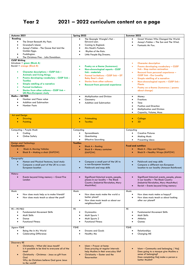## **Year 2 2021 – 2022 curriculum content on a page**

| Autumn 2021<br>Readina<br>The Street Beneath My Feet.<br>$\bullet$<br>Grandad's Island.<br>$\bullet$<br>Aesop's Fables - The Goose that laid the<br>$\bullet$<br>Golden Eggs.<br>Paddington.<br>$\bullet$<br>The Christmas Pine - Julia Donaldson.<br>$\bullet$                                                                                                                                                                                                                                                                                   | Spring 2022<br>The Quangle Wangle's Hat -<br>Edward Lear.<br>Coming to England.<br>٠<br>Mrs Noah's Pockets.<br>Rhythm of the Rain.<br>Little People Big Dreams.                                                                                                                                                                      | Summer 2022<br>Great Women Who Changed the World.<br>$\bullet$<br>Aesop's Fables - The Sun and The Wind.<br>$\bullet$<br>Fantastic Mr Fox.                                                                                                                                                                                                                                                                                                                                   |
|---------------------------------------------------------------------------------------------------------------------------------------------------------------------------------------------------------------------------------------------------------------------------------------------------------------------------------------------------------------------------------------------------------------------------------------------------------------------------------------------------------------------------------------------------|--------------------------------------------------------------------------------------------------------------------------------------------------------------------------------------------------------------------------------------------------------------------------------------------------------------------------------------|------------------------------------------------------------------------------------------------------------------------------------------------------------------------------------------------------------------------------------------------------------------------------------------------------------------------------------------------------------------------------------------------------------------------------------------------------------------------------|
| <b>CUSP Writing</b><br>Introduce = $green$ (Block A)<br>Revisit = $orange$ (Block B)<br><b>Character descriptions - CUSP link -</b><br>$\bullet$<br><b>Animals and living things</b><br>Poems developing vocabulary - CUSP link -<br>٠<br><b>Textiles</b><br>Simple retelling of a narrative<br>$\bullet$<br><b>Formal invitations</b><br>$\bullet$<br>Stories from other cultures - CUSP link -<br><b>UK/Non-European study</b><br>Maths - NCTEM<br>Number and Place value<br>$\bullet$<br>Addition and Subtraction<br>$\bullet$<br>Number Facts | Poetry on a theme (humorous).<br>Non-chronological reports - CUSP<br>link - materials<br><b>Formal invitations - CUSP link - DT</b><br><b>Baby Bear's chair</b><br><b>Stories from other cultures</b><br><b>Recount from personal experience</b><br>Multiplication and Division<br>$\bullet$<br>Geometry<br>Addition and Subtraction | <b>Character description</b><br>۰<br>Poems developing vocabulary - CUSP<br>٠<br>link - Stop motion animation<br>Recount from personal experience -<br>۰<br><b>CUSP link - Our Locality</b><br>Simple retelling of a narrative<br>۰<br>Non-chronological reports - CUSP link -<br>٠<br><b>Plants</b><br>Poetry on a theme (humorous / poems<br>$\bullet$<br>about change)<br>Money<br>$\bullet$<br>Fractions<br>Time<br>Position and Direction<br>Multiplication and Division |
| <b>Art and Design</b><br>$\bullet$<br><b>Drawing</b><br>Painting<br>$\bullet$                                                                                                                                                                                                                                                                                                                                                                                                                                                                     | Printmaking<br>$\bullet$<br><b>Textiles</b>                                                                                                                                                                                                                                                                                          | Capacity, Volume, Mass<br>$\bullet$<br>Collage<br>۰<br>3 <sub>D</sub>                                                                                                                                                                                                                                                                                                                                                                                                        |
| Computing - Purple Mash<br>Coding<br>$\bullet$<br>Online Safety                                                                                                                                                                                                                                                                                                                                                                                                                                                                                   | Computing<br>Spreadsheets<br>Questioning<br><b>Effective Searching</b><br>$\bullet$                                                                                                                                                                                                                                                  | Computing<br><b>Creative Pictures</b><br>$\bullet$<br><b>Making Music</b><br>٠<br>Presenting Ideas<br>$\bullet$                                                                                                                                                                                                                                                                                                                                                              |
| <b>Design and Technology</b><br><b>Construction</b><br><b>Block A: Moving Vehicles</b><br>$\bullet$<br>Block B - Making a chair (KAPOW)<br>$\bullet$                                                                                                                                                                                                                                                                                                                                                                                              | <b>Textiles</b><br>Block $A -$ Bunting<br>$\bullet$<br><b>Block B - Money container</b><br>(KAPOW)                                                                                                                                                                                                                                   | <b>Food and nutrition</b><br><b>Block A - Dips and Dippers</b><br>$\bullet$<br><b>Block B - Healthy Wraps (KAPOW)</b><br>٠                                                                                                                                                                                                                                                                                                                                                   |
| Geography<br>Human and Physical features, local study<br>Compare a small part of the UK to a non-<br>$\bullet$<br>European location                                                                                                                                                                                                                                                                                                                                                                                                               | Compare a small part of the UK to<br>a non-European location<br>Fieldwork and map skills                                                                                                                                                                                                                                             | Fieldwork and map skills<br>$\bullet$<br>Compare a different non-European<br>$\bullet$<br>location to our locality (Amazon Rainforest)                                                                                                                                                                                                                                                                                                                                       |
| <b>History</b><br>Events beyond living memory - Great Fire<br>London                                                                                                                                                                                                                                                                                                                                                                                                                                                                              | Significant historical events, people,<br>places in our locality - The Black<br>Country (Industrial Revolution, Mary<br>MacArthur)                                                                                                                                                                                                   | Significant historical events, people, places<br>in our locality - The Black Country<br>(Industrial Revolution, Mary MacArthur)<br>Revisit - Events beyond living memory<br>$\bullet$                                                                                                                                                                                                                                                                                        |
| Music<br>How does music help us to make friends?<br>$\bullet$<br>How does music teach us about the past?                                                                                                                                                                                                                                                                                                                                                                                                                                          | Music<br>How does music make the world a<br>better place?<br>How does music teach us about our<br>neighbourhood?                                                                                                                                                                                                                     | Music<br>How does music make us happy?<br>٠<br>How does music teach us about looking<br>$\bullet$<br>after our planet?                                                                                                                                                                                                                                                                                                                                                       |
| PE-PEPRO<br><b>Fundamental Movement Skills</b><br>$\bullet$<br>Multi Skills<br>٠<br>Dance<br><b>Functional Fitness</b><br>Jigsaw PSHE<br>Being Me in My World<br>$\bullet$<br><b>Celebrating Difference</b>                                                                                                                                                                                                                                                                                                                                       | PE<br>Gymnastics<br>Multi Sports 1<br>Multi Sports 2<br><b>Functional Fitness</b><br><b>PSHE</b><br><b>Dreams and Goals</b><br>Healthy Me                                                                                                                                                                                            | <b>PE</b><br><b>Fundamental Movement Skills</b><br>Multi Skills<br>Athletics<br>Games<br><b>PSHE</b><br>Relationships<br>Changing ME                                                                                                                                                                                                                                                                                                                                         |
| <b>Discovery RE</b><br>Christianity - What did Jesus teach?<br>$\bullet$<br>is it possible to be kind to everyone all of the<br>time?<br>Christianity - Christmas - Jesus as gift from<br>$\bullet$<br>God<br>Why do Christians believe God gave Jesus<br>to the world?                                                                                                                                                                                                                                                                           | <b>Islam - Prayer at home</b><br>Does praying at regular intervals<br>help Muslims in their everyday life?<br>Christianity - Easter and the<br>Resurrection                                                                                                                                                                          | Islam – Community and belonging / Hajj<br>Does going to a mosque give Muslims a<br>sense of belonging?<br>Does completing Hajj make a person a<br>better Muslim?                                                                                                                                                                                                                                                                                                             |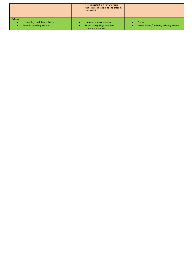|                                       | How important is it for Christians<br>that Jesus came back to life after his<br>crucifixion? |                                            |
|---------------------------------------|----------------------------------------------------------------------------------------------|--------------------------------------------|
| Science                               |                                                                                              |                                            |
| Living things and their habitats<br>۰ | Use of everyday materials                                                                    | Plants                                     |
| Animals, including humans             | Revisit Living things and their<br>habitats / materials                                      | Revisit Plants / Animals, including humans |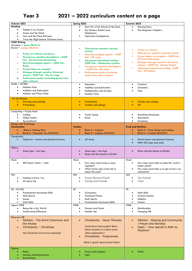**Year 3 2021 – 2022 curriculum content on a page**

| Autumn 2021                                     | Spring 2022                                     | Summer 2022                                                        |
|-------------------------------------------------|-------------------------------------------------|--------------------------------------------------------------------|
| Reading                                         | Sam Wu is Not Afraid of the Dark.<br>٠          | Dancing Bear.<br>$\bullet$                                         |
| Pebble in my Pocket.                            | My Shadow Robert Louis<br>$\bullet$             | The Magician's Nephew.<br>$\bullet$                                |
| Greta and the Giant.                            | Stephenson.                                     |                                                                    |
| Leon and the Place Between.                     | Operation Gadgetman.                            |                                                                    |
| 'Twas the Night before Christmas Anon.          |                                                 |                                                                    |
| <b>CUSP Writing</b>                             |                                                 |                                                                    |
| Introduce = $green$ (Block A)                   |                                                 |                                                                    |
| $Review$ = $orange$ (Block B)                   |                                                 |                                                                    |
|                                                 | Third person narrative (animal<br>stories)      | Poetry on a theme<br>٠                                             |
| Poetry on a theme (emotions)                    |                                                 | Third person narrative (animal stories).<br>$\bullet$              |
| First person narrative descriptions - CUSP      | Non-chronological reports - CUSP                | Formal letters to complain - CUSP link -<br>$\bullet$              |
| link - Art drawing and painting                 | link - UK study                                 | <b>DT Food Technology</b>                                          |
|                                                 | <b>Advanced instructional writing -</b>         | Dialogue through narrative (historical<br>$\bullet$                |
| Non-chronological reports - CUSP link -         | <b>CUSP Link - Mechanical systems</b>           | stories) - CUSP link - Roman Empire                                |
| <b>Rocks</b>                                    | <b>First person narrative descriptions</b><br>۰ | ٠                                                                  |
| <b>Formal letters to complain</b>               | - CUSP link - UK study                          | <b>Advanced instructional writing - CUSP</b><br>link - DT textiles |
| Dialogue through narrative (historical          | <b>Performance poetry (including</b>            |                                                                    |
| stories) - CUSP link - The Iron Age.            | poetry from other cultures)                     |                                                                    |
| Performance poetry (including poetry from       |                                                 |                                                                    |
| other cultures)                                 |                                                 |                                                                    |
| Maths - NCTEM                                   | Geometry<br>٠                                   | <b>Fractions</b><br>$\bullet$                                      |
| <b>Number Facts</b><br>$\bullet$                | Addition and Subtraction<br>$\bullet$           | Geometry<br>$\bullet$                                              |
| <b>Addition and Subtraction</b>                 | Multiplication and Division                     | Time                                                               |
| Number and Place Value                          |                                                 |                                                                    |
|                                                 | <b>Number Facts</b>                             |                                                                    |
| <b>Art and Design</b>                           |                                                 |                                                                    |
| <b>Drawing and painting</b><br>$\bullet$        | Printmaking<br>$\bullet$                        | <b>Textiles and collage</b><br>$\bullet$                           |
|                                                 |                                                 | 3 <sub>D</sub>                                                     |
| Printmaking                                     | <b>Textiles and collage</b>                     |                                                                    |
|                                                 |                                                 |                                                                    |
| Computing - Purple Mash                         |                                                 |                                                                    |
| Coding                                          | Touch Typing                                    | <b>Branching Databases</b><br>$\bullet$                            |
| Online Safety                                   | Email                                           | Simulations                                                        |
| Spreadsheets                                    |                                                 | Graphing<br>$\bullet$                                              |
| Design and Technology                           |                                                 |                                                                    |
| <b>Construction</b>                             | <b>Textiles</b>                                 | <b>Food and Nutrition</b>                                          |
| <b>Block A: Making Kites</b><br>$\bullet$       | <b>Block A - Puppets</b><br>٠                   | Block A - Pizza design and making<br>$\bullet$                     |
| <b>Block B - Pneumatic Toy (KAPOW)</b>          | <b>Block B - Cushions (KAPOW)</b><br>$\bullet$  | <b>Block B - Crumble (KAPOW)</b><br>$\bullet$                      |
|                                                 |                                                 |                                                                    |
| Geography                                       |                                                 |                                                                    |
| Fieldwork - human and physical features         | <b>UK Study</b>                                 | Revisit human and physical features<br>$\bullet$                   |
|                                                 |                                                 | NEW OS maps and scale<br>$\bullet$                                 |
| History                                         |                                                 |                                                                    |
|                                                 |                                                 |                                                                    |
| Stone Age - Iron Age                            | Stone Age - Iron Age                            | Rome and the impact on Britain                                     |
|                                                 | Rome and the impact on Britain                  |                                                                    |
|                                                 |                                                 |                                                                    |
| Music                                           | Music                                           | Music                                                              |
| SIPS Music Tuition - violin                     | How does music bring us close<br>$\bullet$      | How does music help to make the world a<br>$\bullet$               |
|                                                 | together?                                       | better place?                                                      |
|                                                 | What stories does music tell us                 | How does music help us to get to know our<br>$\bullet$             |
|                                                 | about the past?                                 | community?                                                         |
| MfL                                             | MfL                                             | MfL                                                                |
| Getting to Know You                             | Food, Glorious Food                             | Our School                                                         |
| All about Me                                    | Family and Friends                              | Time                                                               |
|                                                 |                                                 |                                                                    |
|                                                 |                                                 |                                                                    |
| PE - PE PRO                                     | PE                                              | PE                                                                 |
| <b>Fundamental Movement Skills</b><br>$\bullet$ | Gymnastics                                      | Multi Skills                                                       |
| Multi Sports                                    | <b>Functional Fitness</b>                       | <b>Invasion Games</b>                                              |
| Dance                                           | Multi Sports                                    | Athletics                                                          |
| Multi Skills                                    | <b>Fundamental Movement Skills</b>              | Games                                                              |
| Jigsaw PSHE                                     | <b>PSHE</b>                                     | <b>PSHE</b>                                                        |
|                                                 |                                                 |                                                                    |
| Being Me in My World                            | <b>Dreams and Goals</b>                         | <b>Relationships</b>                                               |
| <b>Celebrating Difference</b>                   | Healthy Me                                      | Changing ME                                                        |
|                                                 |                                                 |                                                                    |
| <b>Discovery RE</b>                             |                                                 |                                                                    |
| Sikhism - The Amrit Ceremony and                | Christianity - Jesus' Miracles                  | Sikhism - Sharing and Community<br>$\bullet$                       |
| the Khalsa                                      |                                                 | / Prayer and Worship                                               |
| Christianity - Christmas<br>$\bullet$           | Could Jesus heal people? Were                   | Islam - How special is Allah to<br>$\bullet$                       |
|                                                 | these miracles or is there some                 | Muslims?                                                           |
| Has Christmas lost its true meaning?            | other explanation?                              |                                                                    |
|                                                 | Christianity - Forgiveness                      |                                                                    |
|                                                 |                                                 |                                                                    |
|                                                 |                                                 |                                                                    |
|                                                 | What is 'good' about Good Friday?               |                                                                    |
|                                                 |                                                 |                                                                    |
| Science                                         |                                                 |                                                                    |
| Rocks                                           | Forces and magnets                              | Plants                                                             |
| Animals, including humans                       | Light                                           |                                                                    |
| <b>Revisit Rocks</b>                            |                                                 |                                                                    |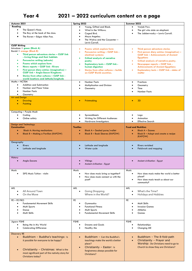## **Year 4 2021 – 2022 curriculum content on a page**

| Autumn 2021           |                                                 | Spring 2022     |                                                               | Summer 2022               |                                                                                          |
|-----------------------|-------------------------------------------------|-----------------|---------------------------------------------------------------|---------------------------|------------------------------------------------------------------------------------------|
| Reading               |                                                 |                 | Young, Gifted and Black.                                      |                           | Varjak Paw.                                                                              |
|                       | The Queen's Nose.                               |                 |                                                               | $\bullet$                 |                                                                                          |
|                       |                                                 |                 | Wind in the Willows.                                          | $\bullet$                 | The girl who stole an elephant.                                                          |
|                       | The Boy at the back of the class.               |                 | Caged Bird.                                                   | $\bullet$                 | The Jabberwocky - Lewis Carroll.                                                         |
| $\bullet$             | The Raven - Edgar Allen Poe.                    |                 | Maya Angelou.                                                 |                           |                                                                                          |
|                       |                                                 |                 | The Walrus and the Carpenter -<br>Lewis Carroll.              |                           |                                                                                          |
| <b>CUSP Writing</b>   |                                                 |                 |                                                               |                           |                                                                                          |
|                       | Introduce = $green$ (Block A)                   | ۰               | Poems which explore form                                      | $\bullet$                 | Third person adventure stories                                                           |
|                       | $Reviewist = orange (Block B)$                  | $\bullet$       |                                                               | $\bullet$                 |                                                                                          |
| $\bullet$             | Third person adventure stories - CUSP link      |                 | <b>Persuasive writing - CUSP link -</b><br>electrical systems |                           | First person diary entries (imaginative) -<br><b>CUSP link - Achievements of Ancient</b> |
|                       | - Living things and their habitats              | ٠               | <b>Critical analysis of narrative</b>                         |                           | <b>Egyptians</b>                                                                         |
| $\bullet$             | <b>Persuasive writing (adverts)</b>             |                 | poetry                                                        | ۰                         | Critical analysis of narrative poetry.                                                   |
|                       | Poems which explore form                        |                 | <b>Explanatory texts - CUSP link -</b>                        | ٠                         | Newspaper reports - CUSP link -                                                          |
|                       | <b>News reports - CUSP link - Rivers</b>        |                 | human digestion                                               |                           | <b>Achievements of Ancient Egyptians</b>                                                 |
|                       | First person diary entries (imaginative) -      |                 | Stories from other cultures - builds                          | ۰                         | <b>Explanatory texts - CUSP link - states of</b>                                         |
|                       | <b>CUSP link - Anglo-Saxon Kingdoms</b>         |                 | on CUSP World countries.                                      |                           | matter                                                                                   |
| $\bullet$             | Stories from other cultures - CUSP link -       |                 |                                                               |                           |                                                                                          |
|                       | world locations and latitude/longitude          |                 |                                                               |                           |                                                                                          |
| Maths - NCTEM         |                                                 | ٠               | Number Facts                                                  | $\bullet$                 | Fractions                                                                                |
| $\bullet$             | Addition and Subtraction                        |                 | Multiplication and Division                                   |                           | Geometry                                                                                 |
| $\bullet$             | Number and Place Value                          |                 | Geometry                                                      |                           | Time                                                                                     |
|                       | Number Facts                                    |                 |                                                               |                           | Number Facts                                                                             |
|                       | Geometry                                        |                 |                                                               |                           |                                                                                          |
| <b>Art and Design</b> |                                                 |                 |                                                               |                           |                                                                                          |
| $\bullet$             | <b>Drawing</b>                                  | $\bullet$       | Printmaking                                                   | ۰                         | 3 <sub>D</sub>                                                                           |
|                       | Painting                                        |                 |                                                               |                           |                                                                                          |
|                       |                                                 |                 |                                                               |                           |                                                                                          |
|                       | Computing - Purple Mash                         |                 |                                                               |                           |                                                                                          |
|                       |                                                 |                 |                                                               |                           |                                                                                          |
|                       | Coding                                          |                 | Spreadsheets                                                  | ٠                         | Logo                                                                                     |
|                       | Online safety                                   |                 | Writing for Different Audiences                               |                           | Animation                                                                                |
|                       | Design and Technology                           | $\bullet$       | Hardware Investigators                                        | $\bullet$                 | <b>Effective Search</b>                                                                  |
| <b>Construction</b>   |                                                 | <b>Textiles</b> |                                                               | <b>Food and Nutrition</b> |                                                                                          |
| $\bullet$             | <b>Block A: Moving mechanisms</b>               | $\bullet$       | <b>Block A - Sealed purse/wallet</b>                          | $\bullet$                 | Block $A -$ Scones                                                                       |
|                       | Block B - Making a Pavilion (KAPOW)             | $\bullet$       | <b>Block B-Book Sleeves (KAPOW)</b>                           | $\bullet$                 | Block B - Adapt and create a recipe                                                      |
|                       |                                                 |                 |                                                               |                           | (KAPOW)                                                                                  |
|                       |                                                 |                 |                                                               |                           |                                                                                          |
| Geography             |                                                 |                 |                                                               |                           |                                                                                          |
|                       | <b>Rivers</b>                                   |                 | Latitude and longitude                                        |                           | Rivers revisited                                                                         |
|                       | Latitude and longitude                          |                 | Water cycle                                                   |                           | Fieldwork and mapping                                                                    |
|                       |                                                 |                 |                                                               |                           |                                                                                          |
|                       |                                                 |                 |                                                               |                           |                                                                                          |
| History               | Anglo-Saxons                                    |                 |                                                               |                           |                                                                                          |
|                       |                                                 |                 | <b>Vikings</b>                                                |                           | Ancient civilisation - Egypt                                                             |
|                       |                                                 |                 | Ancient civilisation - Egypt                                  |                           |                                                                                          |
| Music                 |                                                 | Music           |                                                               | Music                     |                                                                                          |
| $\bullet$             | SIPS Music Tuition - violin                     |                 | How does music bring us together?                             | $\bullet$                 | How does music make the world a better                                                   |
|                       |                                                 |                 | How does music connect us with the                            |                           | place?                                                                                   |
|                       |                                                 |                 | past?                                                         | ٠                         | How does music teach us about our                                                        |
|                       |                                                 |                 |                                                               |                           | community?                                                                               |
|                       |                                                 |                 |                                                               |                           |                                                                                          |
| MfL                   |                                                 | MfL             |                                                               | MfL                       |                                                                                          |
|                       | All Around Town                                 |                 | Going Shopping                                                | $\bullet$                 | What's the Time?                                                                         |
|                       | On the Move                                     |                 | Where in the World?                                           | ٠                         | Holidays and Hobbies                                                                     |
|                       |                                                 | PE              |                                                               |                           |                                                                                          |
| PE - PE PRO           |                                                 |                 |                                                               | PE                        |                                                                                          |
|                       | <b>Fundamental Movement Skills</b>              |                 | Gymnastics                                                    |                           | Multi Skills                                                                             |
|                       | Multi Sports                                    |                 | <b>Functional Fitness</b>                                     |                           | <b>Invasion Games</b>                                                                    |
|                       | Dance                                           |                 | Multi Sports                                                  |                           | Athletics                                                                                |
|                       | Multi Skills                                    |                 | <b>Fundamental Movement Skills</b>                            |                           | Games                                                                                    |
|                       |                                                 |                 |                                                               |                           |                                                                                          |
| Jigsaw PSHE           |                                                 | <b>PSHE</b>     |                                                               | <b>PSHE</b>               |                                                                                          |
|                       | Being Me in My World                            |                 | <b>Dreams and Goals</b>                                       |                           | Relationships                                                                            |
|                       | <b>Celebrating Difference</b>                   |                 | Healthy Me                                                    | $\bullet$                 | Changing ME                                                                              |
|                       |                                                 |                 |                                                               |                           |                                                                                          |
| <b>Discovery RE</b>   |                                                 |                 |                                                               |                           |                                                                                          |
| $\bullet$             | Buddhism - Buddha's teachings: Is               |                 | Buddhism - Can the Buddha's                                   | $\bullet$                 | Buddhism - The 8-fold-path                                                               |
|                       | it possible for everyone to be happy?           |                 | teachings make the world a better                             | $\bullet$                 | Christianity - Prayer and                                                                |
|                       |                                                 |                 | place?                                                        |                           | Worship: Do Christians need to go to                                                     |
|                       |                                                 |                 | Christianity - Easter: Is                                     |                           | Church to show they are Christians?                                                      |
|                       | Christianity - Christmas: What is the           |                 | forgiveness always possible for                               |                           |                                                                                          |
|                       | most significant part of the nativity story for |                 | Christians?                                                   |                           |                                                                                          |
|                       | Christians today?                               |                 |                                                               |                           |                                                                                          |
|                       |                                                 |                 |                                                               |                           |                                                                                          |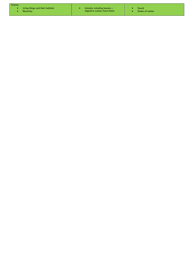

• Living things and their habitats

**Electricity** 

• Animals, including humans – digestive system, food chains • Sound<br>• States

• States of matter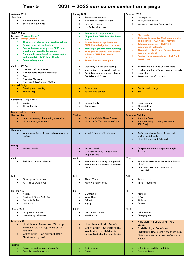## **Year 5 2021 – 2022 curriculum content on a page**

| Autumn 2021                                              | Spring 2022                                             | Summer 2022                                                |
|----------------------------------------------------------|---------------------------------------------------------|------------------------------------------------------------|
| Reading                                                  | Shackleton's Journey.<br>$\bullet$                      | The Explorer.<br>$\bullet$                                 |
| $\bullet$                                                |                                                         |                                                            |
| The Boy in the Tower.                                    | A midsummer night's dream.<br>$\bullet$                 | Five Children and It.<br>$\bullet$                         |
| Secrets of a Sun King.<br>$\bullet$                      | I am not a label.<br>$\bullet$                          | Daffodils - William Wordsworth.                            |
|                                                          | If - Rudyard Kipling.                                   |                                                            |
|                                                          |                                                         |                                                            |
| <b>CUSP Writing</b>                                      | Poems which explore form.<br>$\bullet$                  |                                                            |
| Introduce = $green$ (Block A)                            |                                                         | <b>Playscripts</b><br>$\bullet$                            |
| $Reviewist = orange (Block B)$                           | <b>Biography - CUSP link - Earth and</b><br>$\bullet$   | Dialogue in narrative (first person myths<br>$\bullet$     |
|                                                          | space                                                   | and legends) - CUSP link - Mayans                          |
| Third person stories set in another culture<br>$\bullet$ | Formal letters of application -<br>٠                    | <b>Balanced argument - CUSP link -</b><br>٠                |
| <b>Formal letters of application</b><br>٠                | <b>CUSP link - design for a purpose</b>                 |                                                            |
| Poems that use word play - CUSP link -<br>٠              | <b>Playscripts (Shakespeare retelling)</b><br>$\bullet$ | properties of materials                                    |
| Vocabulary taught in languages                           | Third person stories set in another<br>$\bullet$        | <b>Biography - CUSP link - Forces (famous</b><br>$\bullet$ |
| Dialogue in narrative (first person myths<br>$\bullet$   | culture - CUSP link - world                             | modern scientists)                                         |
| and legends) - CUSP link - Greeks                        | <b>locations</b>                                        | Poems which explore form - CUSP link -<br>$\bullet$        |
|                                                          |                                                         | music lyrics                                               |
| <b>Balanced argument</b><br>٠                            | Poems that use word play<br>۰                           |                                                            |
|                                                          |                                                         |                                                            |
| Maths - NCTEM                                            | Geometry - Area and Scaling<br>$\bullet$                | Number and Place Value - Fractions<br>$\bullet$            |
| Number and Place Value<br>$\bullet$                      | <b>Calculating with Decimal Fractions</b><br>$\bullet$  | Number and Place Value - converting units                  |
| <b>Number Facts (Decimal Fractions)</b><br>$\bullet$     | Multiplication and Division - Factors                   | Geometry                                                   |
| Money<br>٠                                               | Multiples and Primes                                    | Angles and transformations                                 |
|                                                          |                                                         |                                                            |
| <b>Negative Numbers</b><br>$\bullet$                     |                                                         |                                                            |
| Short Multiplication and Division<br>$\bullet$           |                                                         |                                                            |
| <b>Art and Design</b>                                    |                                                         |                                                            |
| <b>Drawing and painting</b><br>$\bullet$                 | Printmaking<br>$\bullet$                                | <b>Textiles and collage</b><br>$\bullet$                   |
| Printmaking<br>۰                                         | <b>Textiles and collage</b>                             | 3 <sub>D</sub><br>ō                                        |
|                                                          |                                                         |                                                            |
|                                                          |                                                         |                                                            |
| Computing - Purple Mash                                  |                                                         |                                                            |
| Coding<br>$\bullet$                                      | Spreadsheets                                            | <b>Game Creator</b>                                        |
| Online Safety<br>$\bullet$                               | <b>Databases</b>                                        | 3D Modelling<br>$\bullet$                                  |
|                                                          |                                                         | Concept Maps<br>$\bullet$                                  |
| Design and Technology                                    |                                                         |                                                            |
| <b>Construction</b>                                      | <b>Textiles</b>                                         | <b>Food and Nutrition</b>                                  |
| $\bullet$                                                | Block A - Mobile Phone Sleeve<br>$\bullet$              | <b>Block A - Bread</b><br>$\bullet$                        |
| <b>Block A: Making alarms using electricity</b>          |                                                         |                                                            |
| Block B - Bridges (KAPOW)<br>$\bullet$                   | <b>Block B - Stuffed Toys (KAPOW)</b><br>$\bullet$      | <b>Block B - Adapt a Bolognese recipe</b><br>$\bullet$     |
|                                                          |                                                         | (KAPOW)                                                    |
|                                                          |                                                         |                                                            |
| Geography                                                |                                                         |                                                            |
| World countries - biomes and environmental<br>$\bullet$  | 4 and 6 figure grid references                          | Revisit world countries - biomes and<br>$\bullet$          |
| regions                                                  |                                                         | environmental regions                                      |
|                                                          |                                                         | NEW OS maps and fieldwork<br>$\bullet$                     |
|                                                          |                                                         |                                                            |
| History                                                  |                                                         |                                                            |
| <b>Ancient Greeks</b>                                    | <b>Ancient Greeks</b>                                   | Comparison study - Maya and Anglo-                         |
|                                                          | Comparison study - Maya and                             | Saxons.                                                    |
|                                                          | Anglo-Saxons.                                           |                                                            |
|                                                          |                                                         |                                                            |
| Music                                                    | Music                                                   | Music                                                      |
| SIPS Music Tuition - clarinet<br>$\bullet$               | How does music bring us together?                       | How does music make the world a better                     |
|                                                          | How does music connect us with the                      | place?                                                     |
|                                                          | past?                                                   | How does music teach us about our                          |
|                                                          |                                                         | community?                                                 |
|                                                          |                                                         |                                                            |
| <b>MfL</b>                                               | MfL                                                     | <b>MfL</b>                                                 |
| Getting to Know You<br>$\bullet$                         | That's Tasty                                            | School Life                                                |
| All About Ourselves                                      |                                                         |                                                            |
|                                                          | Family and Friends                                      | Time Travelling                                            |
|                                                          |                                                         |                                                            |
| PE - PE PRO                                              | PE                                                      | PE                                                         |
| Hockey<br>$\bullet$                                      | Gymnastics                                              | Football                                                   |
|                                                          |                                                         |                                                            |
| <b>Functional Fitness Activities</b><br>$\bullet$        | Yoga Flow                                               | OAA                                                        |
| <b>Dance Activities</b>                                  | Cricket                                                 | Athletics                                                  |
| Basketball                                               | Rugby                                                   | Games                                                      |
|                                                          |                                                         |                                                            |
| Jigsaw PSHE                                              | <b>PSHE</b>                                             | <b>PSHE</b>                                                |
| Being Me in My World<br>$\bullet$                        | <b>Dreams and Goals</b>                                 | Relationships                                              |
| <b>Celebrating Difference</b><br>$\bullet$               | Healthy Me                                              | Changing ME                                                |
|                                                          |                                                         |                                                            |
| <b>Discovery RE</b>                                      |                                                         | Hinduism - Beliefs and moral<br>$\bullet$                  |
| Hinduism - Prayer and Worship:<br>$\bullet$              | Hinduism - Hindu Beliefs                                | value                                                      |
| How far would a Sikh go for his or her                   | Christianity - Salvation: How<br>$\bullet$              |                                                            |
|                                                          |                                                         | Christianity - Beliefs and                                 |
| religion?                                                | significant is it for Christians to                     | Practices: Does belief in the trinity help                 |
| Christianity - Christmas: Is the<br>$\bullet$            | believe God intended Jesus to die?                      | Christians make better sense of God as a                   |
| Christmas story true?                                    |                                                         | whole?                                                     |
|                                                          |                                                         |                                                            |
| Science                                                  |                                                         |                                                            |
|                                                          |                                                         |                                                            |
| Properties and changes of materials<br>٠                 | Earth in space                                          | Living things and their habitats                           |
| Animals, including humans<br>۰                           | <b>Forces</b>                                           | Forces continued                                           |
|                                                          |                                                         |                                                            |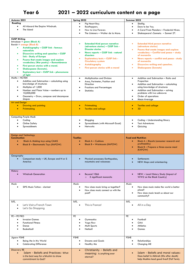## **Year 6 2021 – 2022 curriculum content on a page**

| Autumn 2021                                                                                | Spring 2022                                                                      | Summer 2022                                                                     |
|--------------------------------------------------------------------------------------------|----------------------------------------------------------------------------------|---------------------------------------------------------------------------------|
| Reading                                                                                    | Pig Heart Boy.<br>٠                                                              | Skellig.                                                                        |
| All Aboard the Empire Windrush.                                                            | Rooftoppers.<br>٠                                                                | Dare to be You.<br>٠                                                            |
| The Island<br>$\bullet$                                                                    | How to Live Forever.<br>$\bullet$                                                | A Carol From Flanders - Frederick Niven.                                        |
|                                                                                            | The Listeners - Walter de la Mare.                                               | Shakespeare's Sonnets: - Sonnet 27.                                             |
|                                                                                            |                                                                                  |                                                                                 |
| <b>CUSP Writing</b>                                                                        |                                                                                  |                                                                                 |
| Introduce = $green$ (Block A)                                                              |                                                                                  |                                                                                 |
| Revisit = $orange$ (Block B)                                                               | <b>Extended third person narrative</b><br>٠<br>(adventure stories) - CUSP link - | <b>Extended third person narrative</b><br>۰<br>(adventure stories)              |
| Autobiography - CUSP link - famous<br>$\bullet$                                            | <b>Disaster stories</b>                                                          | ٠                                                                               |
| naturalists                                                                                | News reports - CUSP link - natural<br>٠                                          | Poems that create images and explore<br>vocabulary - Conflict and peace - study |
| Discursive writing and speeches - CUSP<br>٠                                                | disasters                                                                        | of monarchs                                                                     |
| link - Study of Europe                                                                     | <b>Explanatory texts - CUSP link -</b><br>٠                                      | News reports - conflict and peace - study<br>٠                                  |
| Poems that create images and explore<br>$\bullet$<br>vocabulary (War poetry) - Remembrance | <b>Circulatory system</b>                                                        | of monarchs                                                                     |
| First person stories with a moral.<br>$\bullet$                                            | Autobiography<br>٠                                                               | Discursive writing and speeches.<br>٠                                           |
| <b>Shakespeare (Sonnets).</b>                                                              | First person stories with a moral<br>٠                                           | <b>Shakespeare (Sonnets)</b><br>$\bullet$                                       |
| <b>Explanatory text - CUSP link - phenomena</b>                                            |                                                                                  |                                                                                 |
| of light                                                                                   |                                                                                  |                                                                                 |
| Maths - NCTEM                                                                              | Multiplication and Division<br>$\bullet$                                         | Addition and Subtraction - Ratio and<br>$\bullet$                               |
| Addition and Subtraction - calculating using<br>$\bullet$                                  | Area, Perimeter, Position and<br>٠                                               | Proportion                                                                      |
| knowledge of structures                                                                    | Direction                                                                        | Addition and Subtraction - calculating<br>$\bullet$                             |
| Multiples of 1,000                                                                         | <b>Fractions and Percentages</b><br>$\bullet$                                    | using knowledge of structures                                                   |
| Number and Place Value - numbers up to<br>$\bullet$                                        | <b>Statistics</b>                                                                | Addition and Subtraction - solving<br>٠                                         |
| 10,000,000                                                                                 |                                                                                  | problems with two unknowns                                                      |
| Geometry - Draw, compose and decompose<br>$\bullet$                                        |                                                                                  | Order of operations<br>٠                                                        |
| shapes                                                                                     |                                                                                  | Mean Average<br>$\bullet$                                                       |
| <b>Art and Design</b>                                                                      |                                                                                  |                                                                                 |
| <b>Drawing and painting</b><br>$\bullet$                                                   | Printmaking<br>٠                                                                 | <b>Textiles and collage</b><br>$\bullet$                                        |
| Printmaking<br>$\bullet$                                                                   | <b>Textiles and collage</b><br>٠                                                 | 3D                                                                              |
|                                                                                            |                                                                                  |                                                                                 |
| <b>Computing Purple Mash</b>                                                               |                                                                                  |                                                                                 |
| Coding                                                                                     | Blogging                                                                         | Coding - Understanding Binary                                                   |
| Online Safety                                                                              | Spreadsheets (with Microsoft Excel)                                              | <b>Text Adventures</b>                                                          |
| Spreadsheets<br>$\bullet$                                                                  | <b>Networks</b>                                                                  | Quizzing                                                                        |
|                                                                                            |                                                                                  |                                                                                 |
|                                                                                            |                                                                                  |                                                                                 |
| Design and Technology<br><b>Construction</b>                                               | <b>Textiles</b>                                                                  | <b>Food and Nutrition</b>                                                       |
| $\bullet$                                                                                  | <b>Block <math>A - C</math>ushions</b><br>$\bullet$                              | $\bullet$                                                                       |
| <b>Block A: Making toys using CAMS</b>                                                     | $\bullet$                                                                        | Block A - Biscuits (consumer research and<br>profitability)                     |
| <b>Block B - Electromatic Toys (KAPOW)</b><br>$\bullet$                                    | <b>Block B - Waistcoats (KAPOW)</b>                                              | Block B - Prepare a three-course meal<br>$\bullet$                              |
|                                                                                            |                                                                                  | (KAPOW)                                                                         |
|                                                                                            |                                                                                  |                                                                                 |
| Geography                                                                                  |                                                                                  |                                                                                 |
| Comparison study - UK, Europe and N or S                                                   | Physical processes: Earthquakes,<br>$\bullet$                                    | <b>Settlements</b><br>$\bullet$                                                 |
| America                                                                                    | mountains and volcanoes                                                          | NEW Maps and orienteering                                                       |
|                                                                                            |                                                                                  |                                                                                 |
| History                                                                                    |                                                                                  |                                                                                 |
| <b>Windrush Generation</b>                                                                 | Beyond 1066                                                                      | NEW - Local History Study (Impact of                                            |
|                                                                                            | 5 significant monarchs<br>$\circ$                                                | WW2 on the Black Country)                                                       |
|                                                                                            |                                                                                  |                                                                                 |
| Music                                                                                      | Music                                                                            | Music                                                                           |
| SIPS Music Tuition - clarinet                                                              | How does music bring us together?                                                | How does music make the world a better                                          |
|                                                                                            | How does music connect us with the                                               | place?                                                                          |
|                                                                                            | past?                                                                            | How does music teach us about our                                               |
|                                                                                            |                                                                                  | community?                                                                      |
|                                                                                            |                                                                                  |                                                                                 |
| MfL                                                                                        | MfL                                                                              | MfL                                                                             |
| Let's Visit a French Town<br>$\bullet$                                                     | This is France!<br>$\bullet$                                                     | All in a Day                                                                    |
| Let's Go Shopping                                                                          |                                                                                  |                                                                                 |
|                                                                                            |                                                                                  |                                                                                 |
| PE - PE PRO                                                                                | PE                                                                               | <b>PE</b>                                                                       |
| <b>Invasion Games</b>                                                                      | Gymnastics                                                                       | Football                                                                        |
| <b>Functional Fitness</b>                                                                  | Yoga flow                                                                        | OAA                                                                             |
| Dance                                                                                      | Multi Sports                                                                     | Athletics                                                                       |
| Basketball                                                                                 | Netball                                                                          | Games                                                                           |
|                                                                                            |                                                                                  |                                                                                 |
|                                                                                            |                                                                                  |                                                                                 |
| Jigsaw PSHE                                                                                | <b>PSHE</b>                                                                      | <b>PSHE</b>                                                                     |
| Being Me in My World                                                                       | <b>Dreams and Goals</b><br>$\bullet$                                             | <b>Relationships</b>                                                            |
| <b>Celebrating Difference</b>                                                              | Healthy Me                                                                       | Changing ME                                                                     |
| <b>Discovery RE</b>                                                                        |                                                                                  |                                                                                 |
| Islam - Beliefs and Practices: What<br>$\bullet$                                           | Christianity - Beliefs and<br>$\bullet$                                          | Islam - Beliefs and moral values:<br>$\bullet$                                  |
| is the best way for a Muslim to show                                                       | meaning: Is anything ever                                                        | Does belief in Akhirah (life after death)                                       |
| commitment to God?                                                                         | eternal?                                                                         | help Muslims lead good lives? (Full Term).                                      |
|                                                                                            |                                                                                  |                                                                                 |